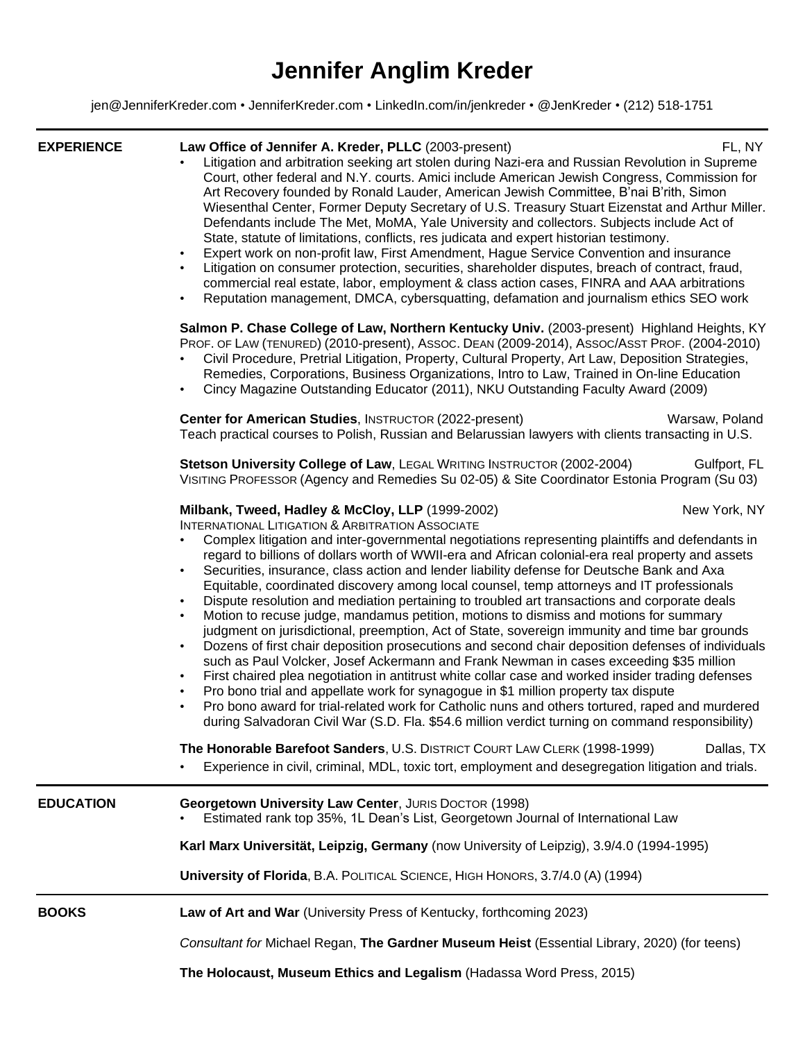## **Jennifer Anglim Kreder**

[jen@JenniferKreder.com](mailto:jenkreder@gmail.com) • [JenniferKreder.com](../../Desktop/documents/CVs%20Bios/JenniferKreder.com) • LinkedIn.com/in/jenkreder • @JenKreder • (212) 518-1751

| <b>EXPERIENCE</b> | FL, NY<br>Law Office of Jennifer A. Kreder, PLLC (2003-present)<br>Litigation and arbitration seeking art stolen during Nazi-era and Russian Revolution in Supreme<br>Court, other federal and N.Y. courts. Amici include American Jewish Congress, Commission for<br>Art Recovery founded by Ronald Lauder, American Jewish Committee, B'nai B'rith, Simon<br>Wiesenthal Center, Former Deputy Secretary of U.S. Treasury Stuart Eizenstat and Arthur Miller.<br>Defendants include The Met, MoMA, Yale University and collectors. Subjects include Act of<br>State, statute of limitations, conflicts, res judicata and expert historian testimony.<br>Expert work on non-profit law, First Amendment, Hague Service Convention and insurance<br>$\bullet$<br>Litigation on consumer protection, securities, shareholder disputes, breach of contract, fraud,<br>$\bullet$<br>commercial real estate, labor, employment & class action cases, FINRA and AAA arbitrations<br>Reputation management, DMCA, cybersquatting, defamation and journalism ethics SEO work                                                                                                                                                                                                                                                                                                                                                                                                                                                                                                                                                                                                               |  |
|-------------------|------------------------------------------------------------------------------------------------------------------------------------------------------------------------------------------------------------------------------------------------------------------------------------------------------------------------------------------------------------------------------------------------------------------------------------------------------------------------------------------------------------------------------------------------------------------------------------------------------------------------------------------------------------------------------------------------------------------------------------------------------------------------------------------------------------------------------------------------------------------------------------------------------------------------------------------------------------------------------------------------------------------------------------------------------------------------------------------------------------------------------------------------------------------------------------------------------------------------------------------------------------------------------------------------------------------------------------------------------------------------------------------------------------------------------------------------------------------------------------------------------------------------------------------------------------------------------------------------------------------------------------------------------------------------------------|--|
|                   | Salmon P. Chase College of Law, Northern Kentucky Univ. (2003-present) Highland Heights, KY<br>PROF. OF LAW (TENURED) (2010-present), ASSOC. DEAN (2009-2014), ASSOC/ASST PROF. (2004-2010)<br>Civil Procedure, Pretrial Litigation, Property, Cultural Property, Art Law, Deposition Strategies,<br>Remedies, Corporations, Business Organizations, Intro to Law, Trained in On-line Education<br>Cincy Magazine Outstanding Educator (2011), NKU Outstanding Faculty Award (2009)                                                                                                                                                                                                                                                                                                                                                                                                                                                                                                                                                                                                                                                                                                                                                                                                                                                                                                                                                                                                                                                                                                                                                                                                |  |
|                   | Center for American Studies, INSTRUCTOR (2022-present)<br>Warsaw, Poland<br>Teach practical courses to Polish, Russian and Belarussian lawyers with clients transacting in U.S.                                                                                                                                                                                                                                                                                                                                                                                                                                                                                                                                                                                                                                                                                                                                                                                                                                                                                                                                                                                                                                                                                                                                                                                                                                                                                                                                                                                                                                                                                                    |  |
|                   | Stetson University College of Law, LEGAL WRITING INSTRUCTOR (2002-2004)<br>Gulfport, FL<br>VISITING PROFESSOR (Agency and Remedies Su 02-05) & Site Coordinator Estonia Program (Su 03)                                                                                                                                                                                                                                                                                                                                                                                                                                                                                                                                                                                                                                                                                                                                                                                                                                                                                                                                                                                                                                                                                                                                                                                                                                                                                                                                                                                                                                                                                            |  |
|                   | New York, NY<br>Milbank, Tweed, Hadley & McCloy, LLP (1999-2002)<br><b>INTERNATIONAL LITIGATION &amp; ARBITRATION ASSOCIATE</b><br>Complex litigation and inter-governmental negotiations representing plaintiffs and defendants in<br>regard to billions of dollars worth of WWII-era and African colonial-era real property and assets<br>Securities, insurance, class action and lender liability defense for Deutsche Bank and Axa<br>Equitable, coordinated discovery among local counsel, temp attorneys and IT professionals<br>Dispute resolution and mediation pertaining to troubled art transactions and corporate deals<br>Motion to recuse judge, mandamus petition, motions to dismiss and motions for summary<br>$\bullet$<br>judgment on jurisdictional, preemption, Act of State, sovereign immunity and time bar grounds<br>Dozens of first chair deposition prosecutions and second chair deposition defenses of individuals<br>$\bullet$<br>such as Paul Volcker, Josef Ackermann and Frank Newman in cases exceeding \$35 million<br>First chaired plea negotiation in antitrust white collar case and worked insider trading defenses<br>٠<br>Pro bono trial and appellate work for synagogue in \$1 million property tax dispute<br>$\bullet$<br>Pro bono award for trial-related work for Catholic nuns and others tortured, raped and murdered<br>٠<br>during Salvadoran Civil War (S.D. Fla. \$54.6 million verdict turning on command responsibility)<br>The Honorable Barefoot Sanders, U.S. DISTRICT COURT LAW CLERK (1998-1999)<br>Dallas, TX<br>Experience in civil, criminal, MDL, toxic tort, employment and desegregation litigation and trials. |  |
| <b>EDUCATION</b>  | Georgetown University Law Center, JURIS DOCTOR (1998)<br>Estimated rank top 35%, 1L Dean's List, Georgetown Journal of International Law                                                                                                                                                                                                                                                                                                                                                                                                                                                                                                                                                                                                                                                                                                                                                                                                                                                                                                                                                                                                                                                                                                                                                                                                                                                                                                                                                                                                                                                                                                                                           |  |
|                   | Karl Marx Universität, Leipzig, Germany (now University of Leipzig), 3.9/4.0 (1994-1995)                                                                                                                                                                                                                                                                                                                                                                                                                                                                                                                                                                                                                                                                                                                                                                                                                                                                                                                                                                                                                                                                                                                                                                                                                                                                                                                                                                                                                                                                                                                                                                                           |  |
|                   | University of Florida, B.A. POLITICAL SCIENCE, HIGH HONORS, 3.7/4.0 (A) (1994)                                                                                                                                                                                                                                                                                                                                                                                                                                                                                                                                                                                                                                                                                                                                                                                                                                                                                                                                                                                                                                                                                                                                                                                                                                                                                                                                                                                                                                                                                                                                                                                                     |  |
| <b>BOOKS</b>      | Law of Art and War (University Press of Kentucky, forthcoming 2023)                                                                                                                                                                                                                                                                                                                                                                                                                                                                                                                                                                                                                                                                                                                                                                                                                                                                                                                                                                                                                                                                                                                                                                                                                                                                                                                                                                                                                                                                                                                                                                                                                |  |
|                   | Consultant for Michael Regan, The Gardner Museum Heist (Essential Library, 2020) (for teens)                                                                                                                                                                                                                                                                                                                                                                                                                                                                                                                                                                                                                                                                                                                                                                                                                                                                                                                                                                                                                                                                                                                                                                                                                                                                                                                                                                                                                                                                                                                                                                                       |  |
|                   | The Holocaust, Museum Ethics and Legalism (Hadassa Word Press, 2015)                                                                                                                                                                                                                                                                                                                                                                                                                                                                                                                                                                                                                                                                                                                                                                                                                                                                                                                                                                                                                                                                                                                                                                                                                                                                                                                                                                                                                                                                                                                                                                                                               |  |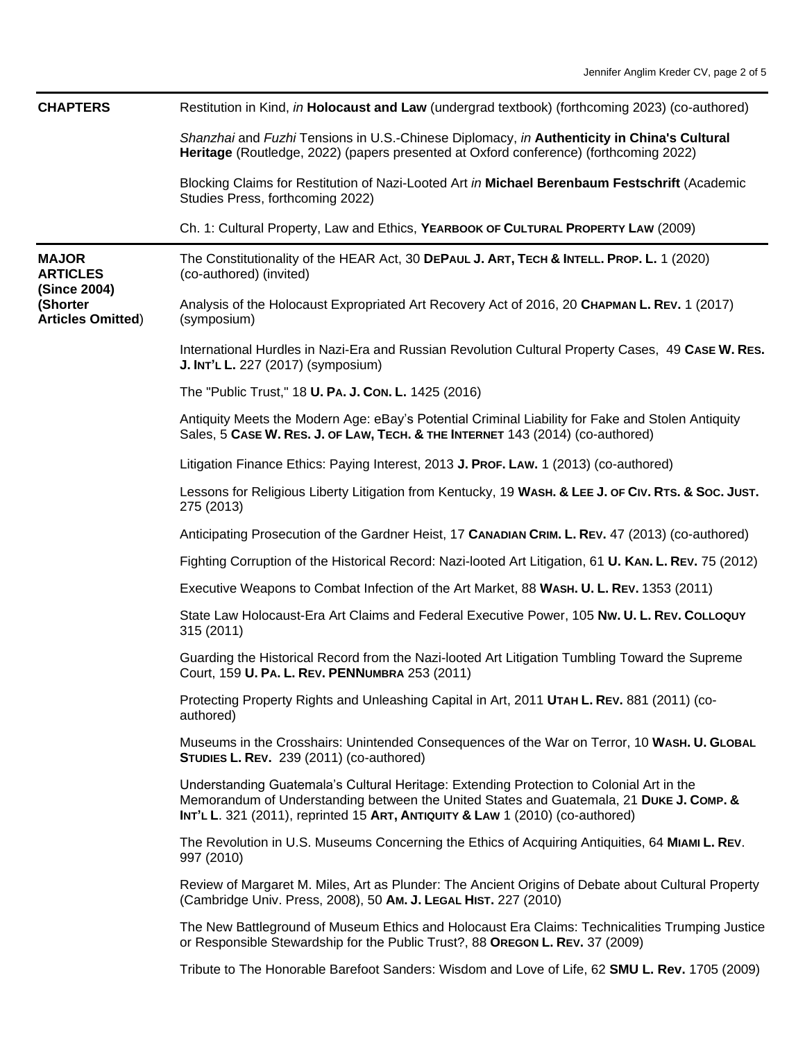| <b>CHAPTERS</b>                                        | Restitution in Kind, in <b>Holocaust and Law</b> (undergrad textbook) (forthcoming 2023) (co-authored)                                                                                                                                                               |
|--------------------------------------------------------|----------------------------------------------------------------------------------------------------------------------------------------------------------------------------------------------------------------------------------------------------------------------|
|                                                        | Shanzhai and Fuzhi Tensions in U.S.-Chinese Diplomacy, in Authenticity in China's Cultural<br>Heritage (Routledge, 2022) (papers presented at Oxford conference) (forthcoming 2022)                                                                                  |
|                                                        | Blocking Claims for Restitution of Nazi-Looted Art in Michael Berenbaum Festschrift (Academic<br>Studies Press, forthcoming 2022)                                                                                                                                    |
|                                                        | Ch. 1: Cultural Property, Law and Ethics, YEARBOOK OF CULTURAL PROPERTY LAW (2009)                                                                                                                                                                                   |
| <b>MAJOR</b><br><b>ARTICLES</b><br><b>(Since 2004)</b> | The Constitutionality of the HEAR Act, 30 DEPAUL J. ART, TECH & INTELL. PROP. L. 1 (2020)<br>(co-authored) (invited)                                                                                                                                                 |
| (Shorter<br><b>Articles Omitted)</b>                   | Analysis of the Holocaust Expropriated Art Recovery Act of 2016, 20 CHAPMAN L. REV. 1 (2017)<br>(symposium)                                                                                                                                                          |
|                                                        | International Hurdles in Nazi-Era and Russian Revolution Cultural Property Cases, 49 CASE W. RES.<br>J. INT'L L. 227 (2017) (symposium)                                                                                                                              |
|                                                        | The "Public Trust," 18 U. PA. J. Con. L. 1425 (2016)                                                                                                                                                                                                                 |
|                                                        | Antiquity Meets the Modern Age: eBay's Potential Criminal Liability for Fake and Stolen Antiquity<br>Sales, 5 CASE W. RES. J. OF LAW, TECH. & THE INTERNET 143 (2014) (co-authored)                                                                                  |
|                                                        | Litigation Finance Ethics: Paying Interest, 2013 J. PROF. LAW. 1 (2013) (co-authored)                                                                                                                                                                                |
|                                                        | Lessons for Religious Liberty Litigation from Kentucky, 19 WASH. & LEE J. OF CIV. RTS. & Soc. JUST.<br>275 (2013)                                                                                                                                                    |
|                                                        | Anticipating Prosecution of the Gardner Heist, 17 CANADIAN CRIM. L. REV. 47 (2013) (co-authored)                                                                                                                                                                     |
|                                                        | Fighting Corruption of the Historical Record: Nazi-looted Art Litigation, 61 U. KAN. L. REV. 75 (2012)                                                                                                                                                               |
|                                                        | Executive Weapons to Combat Infection of the Art Market, 88 WASH. U. L. REV. 1353 (2011)                                                                                                                                                                             |
|                                                        | State Law Holocaust-Era Art Claims and Federal Executive Power, 105 Nw. U. L. REV. COLLOQUY<br>315 (2011)                                                                                                                                                            |
|                                                        | Guarding the Historical Record from the Nazi-looted Art Litigation Tumbling Toward the Supreme<br>Court, 159 U. PA. L. REV. PENNUMBRA 253 (2011)                                                                                                                     |
|                                                        | Protecting Property Rights and Unleashing Capital in Art, 2011 UTAH L. REV. 881 (2011) (co-<br>authored)                                                                                                                                                             |
|                                                        | Museums in the Crosshairs: Unintended Consequences of the War on Terror, 10 WASH. U. GLOBAL<br>STUDIES L. REV. 239 (2011) (co-authored)                                                                                                                              |
|                                                        | Understanding Guatemala's Cultural Heritage: Extending Protection to Colonial Art in the<br>Memorandum of Understanding between the United States and Guatemala, 21 DUKE J. COMP. &<br>INT'L L. 321 (2011), reprinted 15 ART, ANTIQUITY & LAW 1 (2010) (co-authored) |
|                                                        | The Revolution in U.S. Museums Concerning the Ethics of Acquiring Antiquities, 64 MIAMI L. REV.<br>997 (2010)                                                                                                                                                        |
|                                                        | Review of Margaret M. Miles, Art as Plunder: The Ancient Origins of Debate about Cultural Property<br>(Cambridge Univ. Press, 2008), 50 Am. J. LEGAL HIST. 227 (2010)                                                                                                |
|                                                        | The New Battleground of Museum Ethics and Holocaust Era Claims: Technicalities Trumping Justice<br>or Responsible Stewardship for the Public Trust?, 88 OREGON L. REV. 37 (2009)                                                                                     |
|                                                        | Tribute to The Honorable Barefoot Sanders: Wisdom and Love of Life, 62 <b>SMU L. Rev.</b> 1705 (2009)                                                                                                                                                                |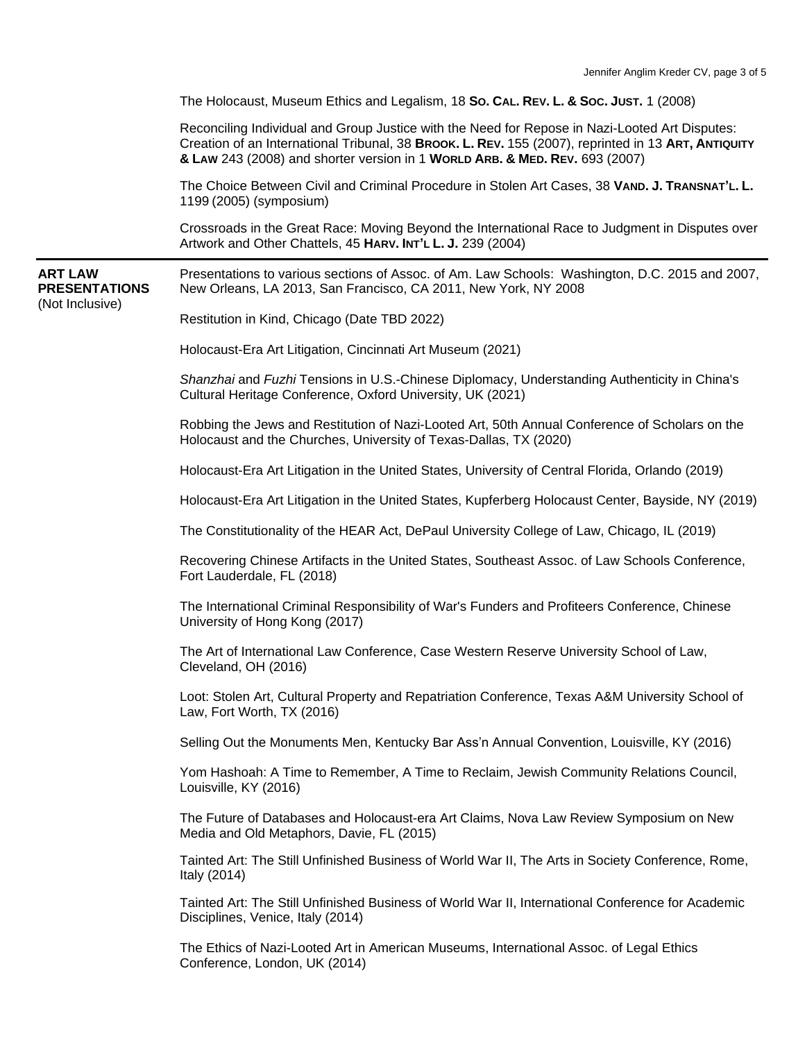The Holocaust, Museum Ethics and Legalism, 18 **SO. CAL. REV. L. & SOC. JUST.** 1 (2008)

Reconciling Individual and Group Justice with the Need for Repose in Nazi-Looted Art Disputes: Creation of an International Tribunal, 38 **BROOK. L. REV.** 155 (2007), reprinted in 13 **ART, ANTIQUITY & LAW** 243 (2008) and shorter version in 1 **WORLD ARB. & MED. REV.** 693 (2007)

The Choice Between Civil and Criminal Procedure in Stolen Art Cases, 38 **VAND. J. TRANSNAT'L. L.** 1199 (2005) (symposium)

Crossroads in the Great Race: Moving Beyond the International Race to Judgment in Disputes over Artwork and Other Chattels, 45 **HARV. INT'L L. J.** 239 (2004)

**ART LAW** Presentations to various sections of Assoc. of Am. Law Schools: Washington, D.C. 2015 and 2007, **PRESENTATIONS** New Orleans, LA 2013, San Francisco, CA 2011, New York, NY 2008 (Not Inclusive)

Restitution in Kind, Chicago (Date TBD 2022)

Holocaust-Era Art Litigation, Cincinnati Art Museum (2021)

*Shanzhai* and *Fuzhi* Tensions in U.S.-Chinese Diplomacy, Understanding Authenticity in China's Cultural Heritage Conference, Oxford University, UK (2021)

Robbing the Jews and Restitution of Nazi-Looted Art, 50th Annual Conference of Scholars on the Holocaust and the Churches, University of Texas-Dallas, TX (2020)

Holocaust-Era Art Litigation in the United States, University of Central Florida, Orlando (2019)

Holocaust-Era Art Litigation in the United States, Kupferberg Holocaust Center, Bayside, NY (2019)

The Constitutionality of the HEAR Act, DePaul University College of Law, Chicago, IL (2019)

Recovering Chinese Artifacts in the United States, Southeast Assoc. of Law Schools Conference, Fort Lauderdale, FL (2018)

The International Criminal Responsibility of War's Funders and Profiteers Conference, Chinese University of Hong Kong (2017)

The Art of International Law Conference, Case Western Reserve University School of Law, Cleveland, OH (2016)

Loot: Stolen Art, Cultural Property and Repatriation Conference, Texas A&M University School of Law, Fort Worth, TX (2016)

Selling Out the Monuments Men, Kentucky Bar Ass'n Annual Convention, Louisville, KY (2016)

Yom Hashoah: A Time to Remember, A Time to Reclaim, Jewish Community Relations Council, Louisville, KY (2016)

The Future of Databases and Holocaust-era Art Claims, Nova Law Review Symposium on New Media and Old Metaphors, Davie, FL (2015)

Tainted Art: The Still Unfinished Business of World War II, The Arts in Society Conference, Rome, Italy (2014)

Tainted Art: The Still Unfinished Business of World War II, International Conference for Academic Disciplines, Venice, Italy (2014)

The Ethics of Nazi-Looted Art in American Museums, International Assoc. of Legal Ethics Conference, London, UK (2014)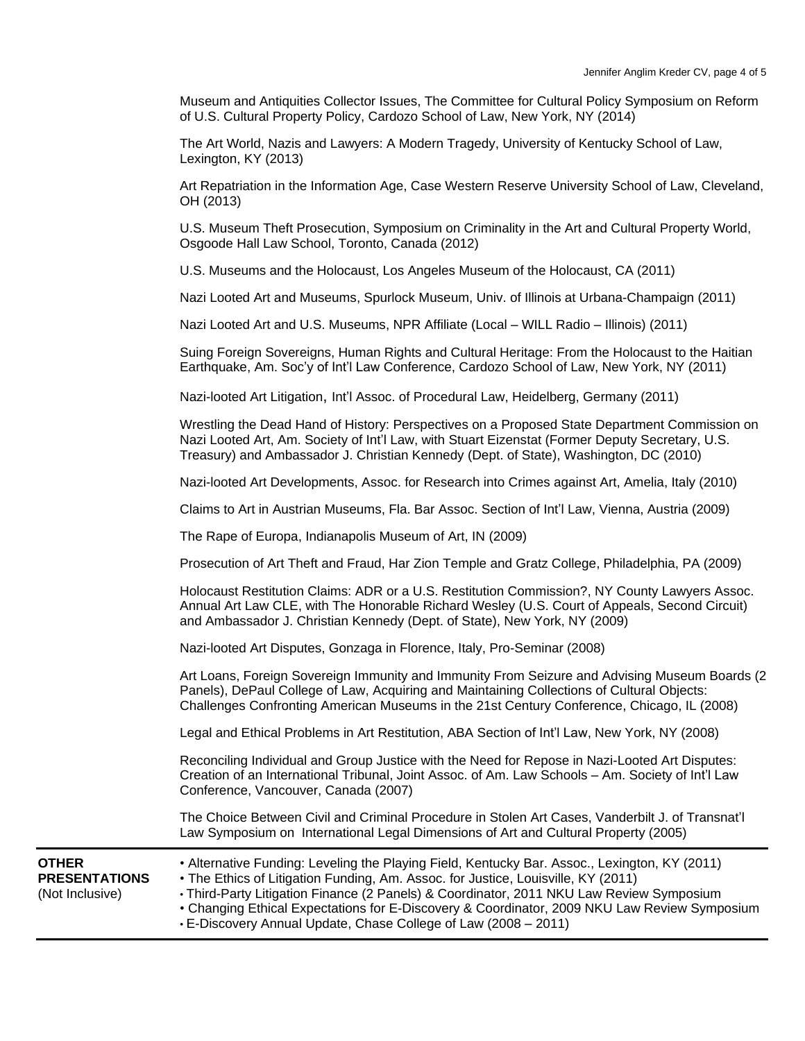Museum and Antiquities Collector Issues, The Committee for Cultural Policy Symposium on Reform of U.S. Cultural Property Policy, Cardozo School of Law, New York, NY (2014)

The Art World, Nazis and Lawyers: A Modern Tragedy, University of Kentucky School of Law, Lexington, KY (2013)

Art Repatriation in the Information Age, Case Western Reserve University School of Law, Cleveland, OH (2013)

U.S. Museum Theft Prosecution, Symposium on Criminality in the Art and Cultural Property World, Osgoode Hall Law School, Toronto, Canada (2012)

U.S. Museums and the Holocaust, Los Angeles Museum of the Holocaust, CA (2011)

Nazi Looted Art and Museums, Spurlock Museum, Univ. of Illinois at Urbana-Champaign (2011)

Nazi Looted Art and U.S. Museums, NPR Affiliate (Local – WILL Radio – Illinois) (2011)

Suing Foreign Sovereigns, Human Rights and Cultural Heritage: From the Holocaust to the Haitian Earthquake, Am. Soc'y of Int'l Law Conference, Cardozo School of Law, New York, NY (2011)

Nazi-looted Art Litigation, Int'l Assoc. of Procedural Law, Heidelberg, Germany (2011)

Wrestling the Dead Hand of History: Perspectives on a Proposed State Department Commission on Nazi Looted Art, Am. Society of Int'l Law, with Stuart Eizenstat (Former Deputy Secretary, U.S. Treasury) and Ambassador J. Christian Kennedy (Dept. of State), Washington, DC (2010)

Nazi-looted Art Developments, Assoc. for Research into Crimes against Art, Amelia, Italy (2010)

Claims to Art in Austrian Museums, Fla. Bar Assoc. Section of Int'l Law, Vienna, Austria (2009)

The Rape of Europa, Indianapolis Museum of Art, IN (2009)

Prosecution of Art Theft and Fraud, Har Zion Temple and Gratz College, Philadelphia, PA (2009)

Holocaust Restitution Claims: ADR or a U.S. Restitution Commission?, NY County Lawyers Assoc. Annual Art Law CLE, with The Honorable Richard Wesley (U.S. Court of Appeals, Second Circuit) and Ambassador J. Christian Kennedy (Dept. of State), New York, NY (2009)

Nazi-looted Art Disputes, Gonzaga in Florence, Italy, Pro-Seminar (2008)

Art Loans, Foreign Sovereign Immunity and Immunity From Seizure and Advising Museum Boards (2 Panels), DePaul College of Law, Acquiring and Maintaining Collections of Cultural Objects: Challenges Confronting American Museums in the 21st Century Conference, Chicago, IL (2008)

Legal and Ethical Problems in Art Restitution, ABA Section of Int'l Law, New York, NY (2008)

Reconciling Individual and Group Justice with the Need for Repose in Nazi-Looted Art Disputes: Creation of an International Tribunal, Joint Assoc. of Am. Law Schools – Am. Society of Int'l Law Conference, Vancouver, Canada (2007)

The Choice Between Civil and Criminal Procedure in Stolen Art Cases, Vanderbilt J. of Transnat'l Law Symposium on International Legal Dimensions of Art and Cultural Property (2005)

| <b>OTHER</b><br><b>PRESENTATIONS</b><br>(Not Inclusive) | • Alternative Funding: Leveling the Playing Field, Kentucky Bar. Assoc., Lexington, KY (2011)<br>• The Ethics of Litigation Funding, Am. Assoc. for Justice, Louisville, KY (2011)<br>. Third-Party Litigation Finance (2 Panels) & Coordinator, 2011 NKU Law Review Symposium |
|---------------------------------------------------------|--------------------------------------------------------------------------------------------------------------------------------------------------------------------------------------------------------------------------------------------------------------------------------|
|                                                         | • Changing Ethical Expectations for E-Discovery & Coordinator, 2009 NKU Law Review Symposium<br>• E-Discovery Annual Update, Chase College of Law (2008 – 2011)                                                                                                                |